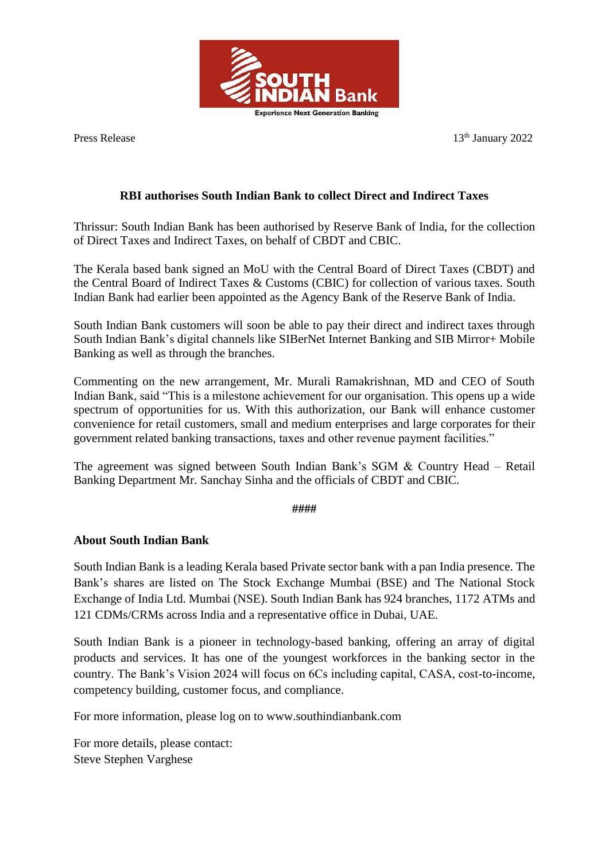

Press Release 13<sup>th</sup> January 2022

## **RBI authorises South Indian Bank to collect Direct and Indirect Taxes**

Thrissur: South Indian Bank has been authorised by Reserve Bank of India, for the collection of Direct Taxes and Indirect Taxes, on behalf of CBDT and CBIC.

The Kerala based bank signed an MoU with the Central Board of Direct Taxes (CBDT) and the Central Board of Indirect Taxes & Customs (CBIC) for collection of various taxes. South Indian Bank had earlier been appointed as the Agency Bank of the Reserve Bank of India.

South Indian Bank customers will soon be able to pay their direct and indirect taxes through South Indian Bank's digital channels like SIBerNet Internet Banking and SIB Mirror+ Mobile Banking as well as through the branches.

Commenting on the new arrangement, Mr. Murali Ramakrishnan, MD and CEO of South Indian Bank, said "This is a milestone achievement for our organisation. This opens up a wide spectrum of opportunities for us. With this authorization, our Bank will enhance customer convenience for retail customers, small and medium enterprises and large corporates for their government related banking transactions, taxes and other revenue payment facilities."

The agreement was signed between South Indian Bank's SGM & Country Head – Retail Banking Department Mr. Sanchay Sinha and the officials of CBDT and CBIC.

**####**

## **About South Indian Bank**

South Indian Bank is a leading Kerala based Private sector bank with a pan India presence. The Bank's shares are listed on The Stock Exchange Mumbai (BSE) and The National Stock Exchange of India Ltd. Mumbai (NSE). South Indian Bank has 924 branches, 1172 ATMs and 121 CDMs/CRMs across India and a representative office in Dubai, UAE.

South Indian Bank is a pioneer in technology-based banking, offering an array of digital products and services. It has one of the youngest workforces in the banking sector in the country. The Bank's Vision 2024 will focus on 6Cs including capital, CASA, cost-to-income, competency building, customer focus, and compliance.

For more information, please log on to www.southindianbank.com

For more details, please contact: Steve Stephen Varghese